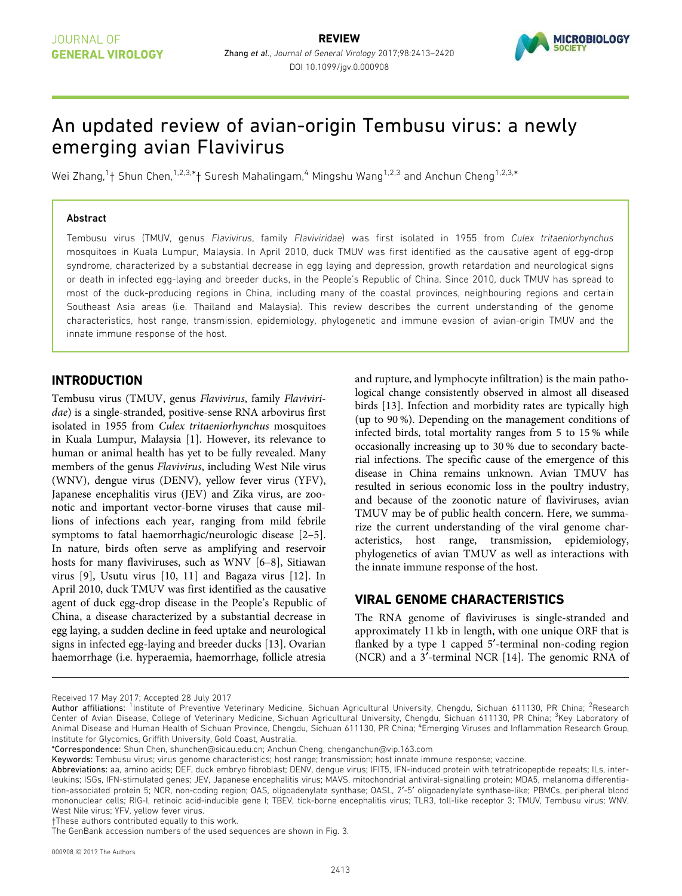

# An updated review of avian-origin Tembusu virus: a newly emerging avian Flavivirus

Wei Zhang,<sup>1</sup>† Shun Chen,<sup>1,2,3,\*</sup>† Suresh Mahalingam,<sup>4</sup> Mingshu Wang<sup>1,2,3</sup> and Anchun Cheng<sup>1,2,3,</sup>\*

#### Abstract

Tembusu virus (TMUV, genus Flavivirus, family Flaviviridae) was first isolated in 1955 from Culex tritaeniorhynchus mosquitoes in Kuala Lumpur, Malaysia. In April 2010, duck TMUV was first identified as the causative agent of egg-drop syndrome, characterized by a substantial decrease in egg laying and depression, growth retardation and neurological signs or death in infected egg-laying and breeder ducks, in the People's Republic of China. Since 2010, duck TMUV has spread to most of the duck-producing regions in China, including many of the coastal provinces, neighbouring regions and certain Southeast Asia areas (i.e. Thailand and Malaysia). This review describes the current understanding of the genome characteristics, host range, transmission, epidemiology, phylogenetic and immune evasion of avian-origin TMUV and the innate immune response of the host.

### INTRODUCTION

Tembusu virus (TMUV, genus Flavivirus, family Flaviviridae) is a single-stranded, positive-sense RNA arbovirus first isolated in 1955 from Culex tritaeniorhynchus mosquitoes in Kuala Lumpur, Malaysia [1]. However, its relevance to human or animal health has yet to be fully revealed. Many members of the genus Flavivirus, including West Nile virus (WNV), dengue virus (DENV), yellow fever virus (YFV), Japanese encephalitis virus (JEV) and Zika virus, are zoonotic and important vector-borne viruses that cause millions of infections each year, ranging from mild febrile symptoms to fatal haemorrhagic/neurologic disease [2–5]. In nature, birds often serve as amplifying and reservoir hosts for many flaviviruses, such as WNV [6–8], Sitiawan virus [9], Usutu virus [10, 11] and Bagaza virus [12]. In April 2010, duck TMUV was first identified as the causative agent of duck egg-drop disease in the People's Republic of China, a disease characterized by a substantial decrease in egg laying, a sudden decline in feed uptake and neurological signs in infected egg-laying and breeder ducks [13]. Ovarian haemorrhage (i.e. hyperaemia, haemorrhage, follicle atresia and rupture, and lymphocyte infiltration) is the main pathological change consistently observed in almost all diseased birds [13]. Infection and morbidity rates are typically high (up to 90 %). Depending on the management conditions of infected birds, total mortality ranges from 5 to 15 % while occasionally increasing up to 30 % due to secondary bacterial infections. The specific cause of the emergence of this disease in China remains unknown. Avian TMUV has resulted in serious economic loss in the poultry industry, and because of the zoonotic nature of flaviviruses, avian TMUV may be of public health concern. Here, we summarize the current understanding of the viral genome characteristics, host range, transmission, epidemiology, phylogenetics of avian TMUV as well as interactions with the innate immune response of the host.

### VIRAL GENOME CHARACTERISTICS

The RNA genome of flaviviruses is single-stranded and approximately 11 kb in length, with one unique ORF that is flanked by a type 1 capped 5'-terminal non-coding region (NCR) and a 3¢-terminal NCR [14]. The genomic RNA of

†These authors contributed equally to this work.

Received 17 May 2017; Accepted 28 July 2017

Author affiliations: <sup>1</sup>Institute of Preventive Veterinary Medicine, Sichuan Agricultural University, Chengdu, Sichuan 611130, PR China; <sup>2</sup>Research Center of Avian Disease, College of Veterinary Medicine, Sichuan Agricultural University, Chengdu, Sichuan 611130, PR China; <sup>3</sup>Key Laboratory of Animal Disease and Human Health of Sichuan Province, Chengdu, Sichuan 611130, PR China; <sup>4</sup>Emerging Viruses and Inflammation Research Group Institute for Glycomics, Griffith University, Gold Coast, Australia.

<sup>\*</sup>Correspondence: Shun Chen, shunchen@sicau.edu.cn; Anchun Cheng, chenganchun@vip.163.com

Keywords: Tembusu virus; virus genome characteristics; host range; transmission; host innate immune response; vaccine.

Abbreviations: aa, amino acids; DEF, duck embryo fibroblast; DENV, dengue virus; IFIT5, IFN-induced protein with tetratricopeptide repeats; ILs, interleukins; ISGs, IFN-stimulated genes; JEV, Japanese encephalitis virus; MAVS, mitochondrial antiviral-signalling protein; MDA5, melanoma differentiation-associated protein 5; NCR, non-coding region; OAS, oligoadenylate synthase; OASL, 2¢-5¢ oligoadenylate synthase-like; PBMCs, peripheral blood mononuclear cells; RIG-I, retinoic acid-inducible gene I; TBEV, tick-borne encephalitis virus; TLR3, toll-like receptor 3; TMUV, Tembusu virus; WNV, West Nile virus; YFV, yellow fever virus.

The GenBank accession numbers of the used sequences are shown in Fig. 3.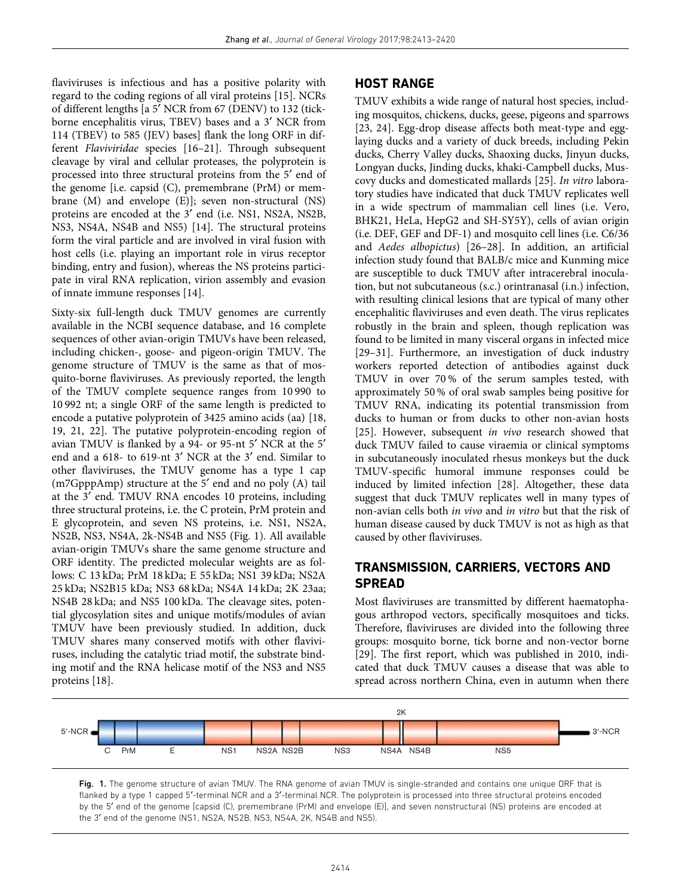flaviviruses is infectious and has a positive polarity with regard to the coding regions of all viral proteins [15]. NCRs of different lengths [a 5¢ NCR from 67 (DENV) to 132 (tickborne encephalitis virus, TBEV) bases and a 3¢ NCR from 114 (TBEV) to 585 (JEV) bases] flank the long ORF in different Flaviviridae species [16–21]. Through subsequent cleavage by viral and cellular proteases, the polyprotein is processed into three structural proteins from the 5' end of the genome [i.e. capsid (C), premembrane (PrM) or membrane  $(M)$  and envelope  $(E)$ ; seven non-structural  $(NS)$ proteins are encoded at the 3' end (i.e. NS1, NS2A, NS2B, NS3, NS4A, NS4B and NS5) [14]. The structural proteins form the viral particle and are involved in viral fusion with host cells (i.e. playing an important role in virus receptor binding, entry and fusion), whereas the NS proteins participate in viral RNA replication, virion assembly and evasion of innate immune responses [14].

Sixty-six full-length duck TMUV genomes are currently available in the NCBI sequence database, and 16 complete sequences of other avian-origin TMUVs have been released, including chicken-, goose- and pigeon-origin TMUV. The genome structure of TMUV is the same as that of mosquito-borne flaviviruses. As previously reported, the length of the TMUV complete sequence ranges from 10 990 to 10 992 nt; a single ORF of the same length is predicted to encode a putative polyprotein of 3425 amino acids (aa) [18, 19, 21, 22]. The putative polyprotein-encoding region of avian TMUV is flanked by a 94- or 95-nt 5' NCR at the 5' end and a 618- to 619-nt 3' NCR at the 3' end. Similar to other flaviviruses, the TMUV genome has a type 1 cap (m7GpppAmp) structure at the 5' end and no poly (A) tail at the 3' end. TMUV RNA encodes 10 proteins, including three structural proteins, i.e. the C protein, PrM protein and E glycoprotein, and seven NS proteins, i.e. NS1, NS2A, NS2B, NS3, NS4A, 2k-NS4B and NS5 (Fig. 1). All available avian-origin TMUVs share the same genome structure and ORF identity. The predicted molecular weights are as follows: C 13 kDa; PrM 18 kDa; E 55 kDa; NS1 39 kDa; NS2A 25 kDa; NS2B15 kDa; NS3 68 kDa; NS4A 14 kDa; 2K 23aa; NS4B 28 kDa; and NS5 100 kDa. The cleavage sites, potential glycosylation sites and unique motifs/modules of avian TMUV have been previously studied. In addition, duck TMUV shares many conserved motifs with other flaviviruses, including the catalytic triad motif, the substrate binding motif and the RNA helicase motif of the NS3 and NS5 proteins [18].

#### HOST RANGE

TMUV exhibits a wide range of natural host species, including mosquitos, chickens, ducks, geese, pigeons and sparrows [23, 24]. Egg-drop disease affects both meat-type and egglaying ducks and a variety of duck breeds, including Pekin ducks, Cherry Valley ducks, Shaoxing ducks, Jinyun ducks, Longyan ducks, Jinding ducks, khaki-Campbell ducks, Muscovy ducks and domesticated mallards [25]. In vitro laboratory studies have indicated that duck TMUV replicates well in a wide spectrum of mammalian cell lines (i.e. Vero, BHK21, HeLa, HepG2 and SH-SY5Y), cells of avian origin (i.e. DEF, GEF and DF-1) and mosquito cell lines (i.e. C6/36 and Aedes albopictus) [26–28]. In addition, an artificial infection study found that BALB/c mice and Kunming mice are susceptible to duck TMUV after intracerebral inoculation, but not subcutaneous (s.c.) orintranasal (i.n.) infection, with resulting clinical lesions that are typical of many other encephalitic flaviviruses and even death. The virus replicates robustly in the brain and spleen, though replication was found to be limited in many visceral organs in infected mice [29–31]. Furthermore, an investigation of duck industry workers reported detection of antibodies against duck TMUV in over 70 % of the serum samples tested, with approximately 50 % of oral swab samples being positive for TMUV RNA, indicating its potential transmission from ducks to human or from ducks to other non-avian hosts [25]. However, subsequent in vivo research showed that duck TMUV failed to cause viraemia or clinical symptoms in subcutaneously inoculated rhesus monkeys but the duck TMUV-specific humoral immune responses could be induced by limited infection [28]. Altogether, these data suggest that duck TMUV replicates well in many types of non-avian cells both in vivo and in vitro but that the risk of human disease caused by duck TMUV is not as high as that caused by other flaviviruses.

### TRANSMISSION, CARRIERS, VECTORS AND SPREAD

Most flaviviruses are transmitted by different haematophagous arthropod vectors, specifically mosquitoes and ticks. Therefore, flaviviruses are divided into the following three groups: mosquito borne, tick borne and non-vector borne [29]. The first report, which was published in 2010, indicated that duck TMUV causes a disease that was able to spread across northern China, even in autumn when there



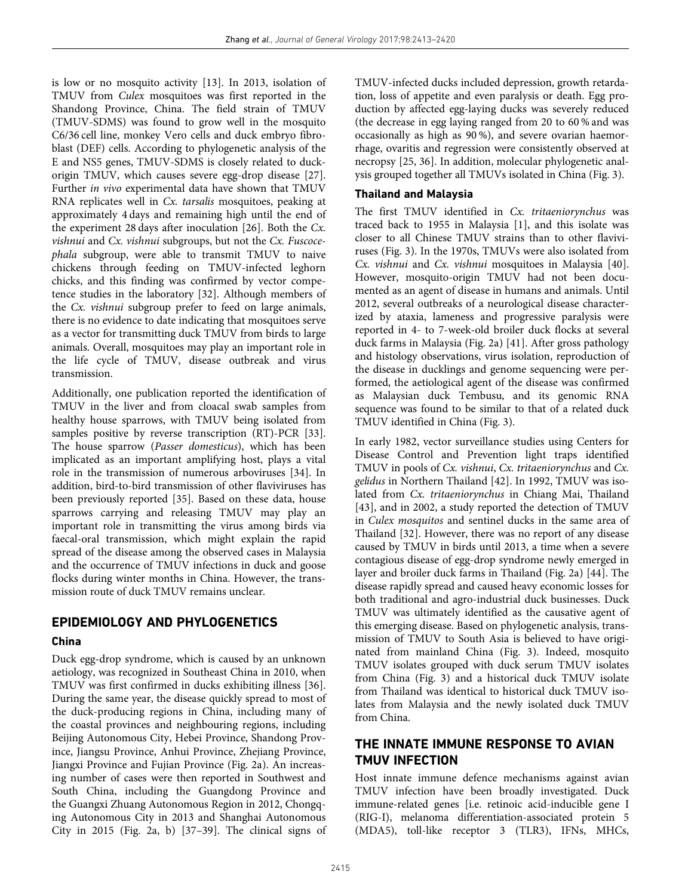is low or no mosquito activity [13]. In 2013, isolation of TMUV from Culex mosquitoes was first reported in the Shandong Province, China. The field strain of TMUV (TMUV-SDMS) was found to grow well in the mosquito C6/36 cell line, monkey Vero cells and duck embryo fibroblast (DEF) cells. According to phylogenetic analysis of the E and NS5 genes, TMUV-SDMS is closely related to duckorigin TMUV, which causes severe egg-drop disease [27]. Further in vivo experimental data have shown that TMUV RNA replicates well in Cx. tarsalis mosquitoes, peaking at approximately 4 days and remaining high until the end of the experiment 28 days after inoculation [26]. Both the Cx. vishnui and Cx. vishnui subgroups, but not the Cx. Fuscocephala subgroup, were able to transmit TMUV to naive chickens through feeding on TMUV-infected leghorn chicks, and this finding was confirmed by vector competence studies in the laboratory [32]. Although members of the Cx. vishnui subgroup prefer to feed on large animals, there is no evidence to date indicating that mosquitoes serve as a vector for transmitting duck TMUV from birds to large animals. Overall, mosquitoes may play an important role in the life cycle of TMUV, disease outbreak and virus transmission.

Additionally, one publication reported the identification of TMUV in the liver and from cloacal swab samples from healthy house sparrows, with TMUV being isolated from samples positive by reverse transcription (RT)-PCR [33]. The house sparrow (Passer domesticus), which has been implicated as an important amplifying host, plays a vital role in the transmission of numerous arboviruses [34]. In addition, bird-to-bird transmission of other flaviviruses has been previously reported [35]. Based on these data, house sparrows carrying and releasing TMUV may play an important role in transmitting the virus among birds via faecal-oral transmission, which might explain the rapid spread of the disease among the observed cases in Malaysia and the occurrence of TMUV infections in duck and goose flocks during winter months in China. However, the transmission route of duck TMUV remains unclear.

## EPIDEMIOLOGY AND PHYLOGENETICS

#### China

Duck egg-drop syndrome, which is caused by an unknown aetiology, was recognized in Southeast China in 2010, when TMUV was first confirmed in ducks exhibiting illness [36]. During the same year, the disease quickly spread to most of the duck-producing regions in China, including many of the coastal provinces and neighbouring regions, including Beijing Autonomous City, Hebei Province, Shandong Province, Jiangsu Province, Anhui Province, Zhejiang Province, Jiangxi Province and Fujian Province (Fig. 2a). An increasing number of cases were then reported in Southwest and South China, including the Guangdong Province and the Guangxi Zhuang Autonomous Region in 2012, Chongqing Autonomous City in 2013 and Shanghai Autonomous City in 2015 (Fig. 2a, b) [37–39]. The clinical signs of

TMUV-infected ducks included depression, growth retardation, loss of appetite and even paralysis or death. Egg production by affected egg-laying ducks was severely reduced (the decrease in egg laying ranged from 20 to 60 % and was occasionally as high as 90 %), and severe ovarian haemorrhage, ovaritis and regression were consistently observed at necropsy [25, 36]. In addition, molecular phylogenetic analysis grouped together all TMUVs isolated in China (Fig. 3).

### Thailand and Malaysia

The first TMUV identified in Cx. tritaeniorynchus was traced back to 1955 in Malaysia [1], and this isolate was closer to all Chinese TMUV strains than to other flaviviruses (Fig. 3). In the 1970s, TMUVs were also isolated from Cx. vishnui and Cx. vishnui mosquitoes in Malaysia [40]. However, mosquito-origin TMUV had not been documented as an agent of disease in humans and animals. Until 2012, several outbreaks of a neurological disease characterized by ataxia, lameness and progressive paralysis were reported in 4- to 7-week-old broiler duck flocks at several duck farms in Malaysia (Fig. 2a) [41]. After gross pathology and histology observations, virus isolation, reproduction of the disease in ducklings and genome sequencing were performed, the aetiological agent of the disease was confirmed as Malaysian duck Tembusu, and its genomic RNA sequence was found to be similar to that of a related duck TMUV identified in China (Fig. 3).

In early 1982, vector surveillance studies using Centers for Disease Control and Prevention light traps identified TMUV in pools of Cx. vishnui, Cx. tritaeniorynchus and Cx. gelidus in Northern Thailand [42]. In 1992, TMUV was isolated from Cx. tritaeniorynchus in Chiang Mai, Thailand [43], and in 2002, a study reported the detection of TMUV in Culex mosquitos and sentinel ducks in the same area of Thailand [32]. However, there was no report of any disease caused by TMUV in birds until 2013, a time when a severe contagious disease of egg-drop syndrome newly emerged in layer and broiler duck farms in Thailand (Fig. 2a) [44]. The disease rapidly spread and caused heavy economic losses for both traditional and agro-industrial duck businesses. Duck TMUV was ultimately identified as the causative agent of this emerging disease. Based on phylogenetic analysis, transmission of TMUV to South Asia is believed to have originated from mainland China (Fig. 3). Indeed, mosquito TMUV isolates grouped with duck serum TMUV isolates from China (Fig. 3) and a historical duck TMUV isolate from Thailand was identical to historical duck TMUV isolates from Malaysia and the newly isolated duck TMUV from China.

### THE INNATE IMMUNE RESPONSE TO AVIAN TMUV INFECTION

Host innate immune defence mechanisms against avian TMUV infection have been broadly investigated. Duck immune-related genes [i.e. retinoic acid-inducible gene I (RIG-I), melanoma differentiation-associated protein 5 (MDA5), toll-like receptor 3 (TLR3), IFNs, MHCs,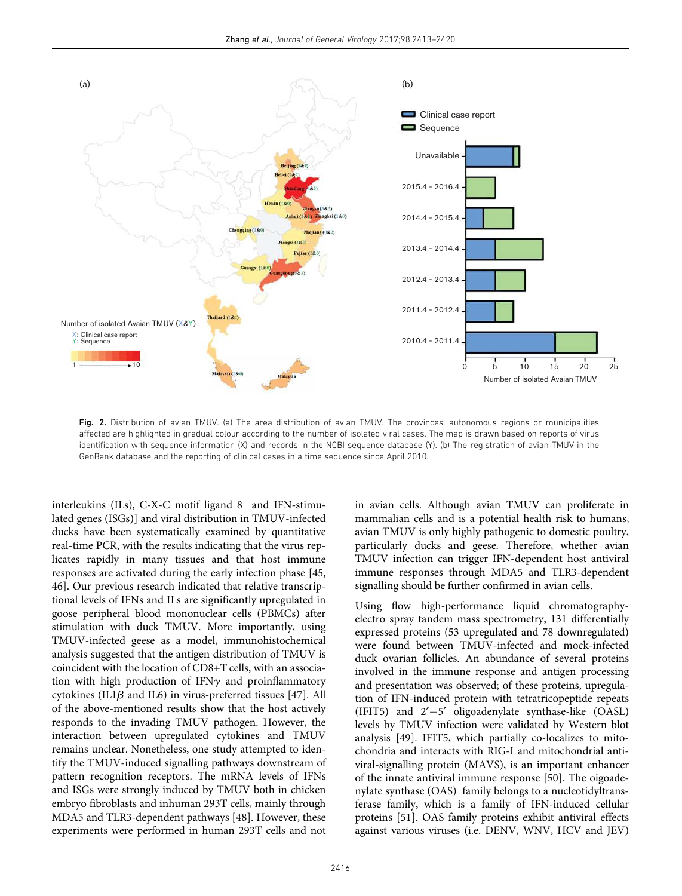

Fig. 2. Distribution of avian TMUV. (a) The area distribution of avian TMUV. The provinces, autonomous regions or municipalities affected are highlighted in gradual colour according to the number of isolated viral cases. The map is drawn based on reports of virus identification with sequence information (X) and records in the NCBI sequence database (Y). (b) The registration of avian TMUV in the GenBank database and the reporting of clinical cases in a time sequence since April 2010.

interleukins (ILs), C-X-C motif ligand 8 and IFN-stimulated genes (ISGs)] and viral distribution in TMUV-infected ducks have been systematically examined by quantitative real-time PCR, with the results indicating that the virus replicates rapidly in many tissues and that host immune responses are activated during the early infection phase [45, 46]. Our previous research indicated that relative transcriptional levels of IFNs and ILs are significantly upregulated in goose peripheral blood mononuclear cells (PBMCs) after stimulation with duck TMUV. More importantly, using TMUV-infected geese as a model, immunohistochemical analysis suggested that the antigen distribution of TMUV is coincident with the location of CD8+T cells, with an association with high production of IFN $\gamma$  and proinflammatory cytokines (IL1 $\beta$  and IL6) in virus-preferred tissues [47]. All of the above-mentioned results show that the host actively responds to the invading TMUV pathogen. However, the interaction between upregulated cytokines and TMUV remains unclear. Nonetheless, one study attempted to identify the TMUV-induced signalling pathways downstream of pattern recognition receptors. The mRNA levels of IFNs and ISGs were strongly induced by TMUV both in chicken embryo fibroblasts and inhuman 293T cells, mainly through MDA5 and TLR3-dependent pathways [48]. However, these experiments were performed in human 293T cells and not in avian cells. Although avian TMUV can proliferate in mammalian cells and is a potential health risk to humans, avian TMUV is only highly pathogenic to domestic poultry, particularly ducks and geese. Therefore, whether avian TMUV infection can trigger IFN-dependent host antiviral immune responses through MDA5 and TLR3-dependent signalling should be further confirmed in avian cells.

Using flow high-performance liquid chromatographyelectro spray tandem mass spectrometry, 131 differentially expressed proteins (53 upregulated and 78 downregulated) were found between TMUV-infected and mock-infected duck ovarian follicles. An abundance of several proteins involved in the immune response and antigen processing and presentation was observed; of these proteins, upregulation of IFN-induced protein with tetratricopeptide repeats (IFIT5) and  $2'-5'$  oligoadenylate synthase-like (OASL) levels by TMUV infection were validated by Western blot analysis [49]. IFIT5, which partially co-localizes to mitochondria and interacts with RIG-I and mitochondrial antiviral-signalling protein (MAVS), is an important enhancer of the innate antiviral immune response [50]. The oigoadenylate synthase (OAS) family belongs to a nucleotidyltransferase family, which is a family of IFN-induced cellular proteins [51]. OAS family proteins exhibit antiviral effects against various viruses (i.e. DENV, WNV, HCV and JEV)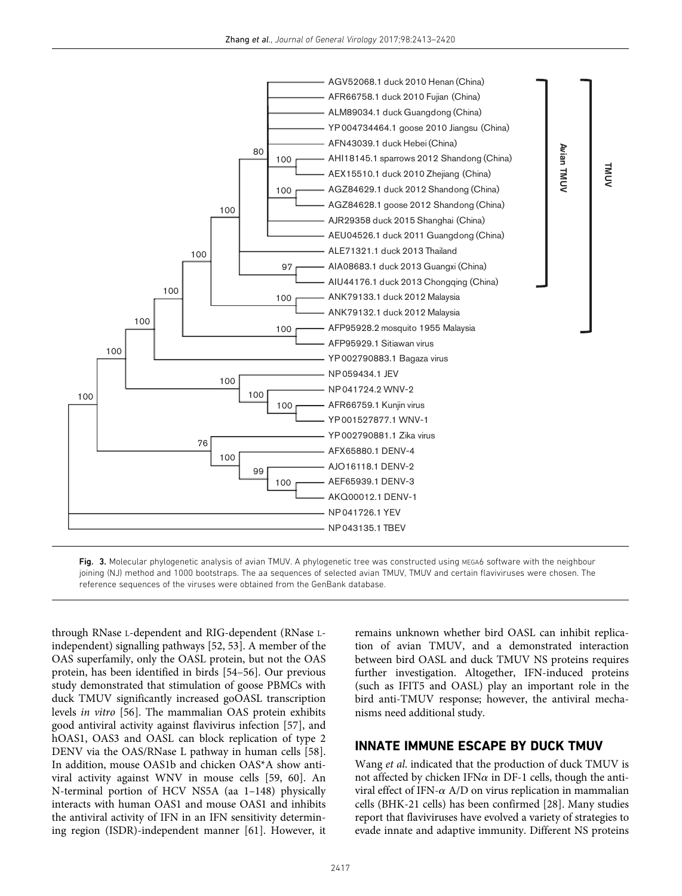



Fig. 3. Molecular phylogenetic analysis of avian TMUV. A phylogenetic tree was constructed using MEGA6 software with the neighbour joining (NJ) method and 1000 bootstraps. The aa sequences of selected avian TMUV, TMUV and certain flaviviruses were chosen. The reference sequences of the viruses were obtained from the GenBank database.

through RNase L-dependent and RIG-dependent (RNase Lindependent) signalling pathways [52, 53]. A member of the OAS superfamily, only the OASL protein, but not the OAS protein, has been identified in birds [54–56]. Our previous study demonstrated that stimulation of goose PBMCs with duck TMUV significantly increased goOASL transcription levels in vitro [56]. The mammalian OAS protein exhibits good antiviral activity against flavivirus infection [57], and hOAS1, OAS3 and OASL can block replication of type 2 DENV via the OAS/RNase L pathway in human cells [58]. In addition, mouse OAS1b and chicken OAS\*A show antiviral activity against WNV in mouse cells [59, 60]. An N-terminal portion of HCV NS5A (aa 1–148) physically interacts with human OAS1 and mouse OAS1 and inhibits the antiviral activity of IFN in an IFN sensitivity determining region (ISDR)-independent manner [61]. However, it remains unknown whether bird OASL can inhibit replication of avian TMUV, and a demonstrated interaction between bird OASL and duck TMUV NS proteins requires further investigation. Altogether, IFN-induced proteins (such as IFIT5 and OASL) play an important role in the bird anti-TMUV response; however, the antiviral mechanisms need additional study.

### INNATE IMMUNE ESCAPE BY DUCK TMUV

Wang et al. indicated that the production of duck TMUV is not affected by chicken IFN $\alpha$  in DF-1 cells, though the antiviral effect of IFN- $\alpha$  A/D on virus replication in mammalian cells (BHK-21 cells) has been confirmed [28]. Many studies report that flaviviruses have evolved a variety of strategies to evade innate and adaptive immunity. Different NS proteins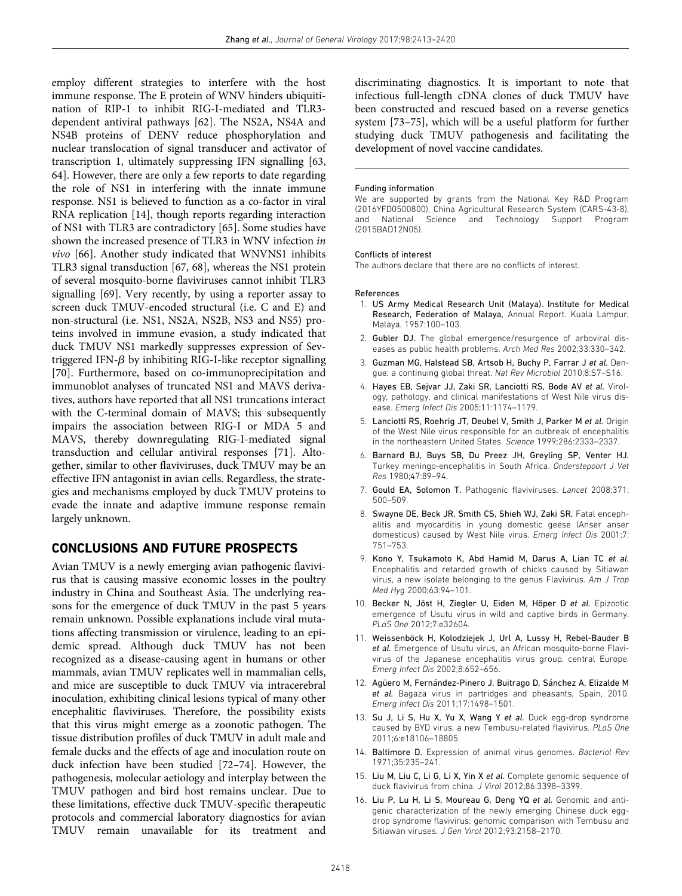employ different strategies to interfere with the host immune response. The E protein of WNV hinders ubiquitination of RIP-1 to inhibit RIG-I-mediated and TLR3 dependent antiviral pathways [62]. The NS2A, NS4A and NS4B proteins of DENV reduce phosphorylation and nuclear translocation of signal transducer and activator of transcription 1, ultimately suppressing IFN signalling [63, 64]. However, there are only a few reports to date regarding the role of NS1 in interfering with the innate immune response. NS1 is believed to function as a co-factor in viral RNA replication [14], though reports regarding interaction of NS1 with TLR3 are contradictory [65]. Some studies have shown the increased presence of TLR3 in WNV infection in vivo [66]. Another study indicated that WNVNS1 inhibits TLR3 signal transduction [67, 68], whereas the NS1 protein of several mosquito-borne flaviviruses cannot inhibit TLR3 signalling [69]. Very recently, by using a reporter assay to screen duck TMUV-encoded structural (i.e. C and E) and non-structural (i.e. NS1, NS2A, NS2B, NS3 and NS5) proteins involved in immune evasion, a study indicated that duck TMUV NS1 markedly suppresses expression of Sevtriggered IFN- $\beta$  by inhibiting RIG-I-like receptor signalling [70]. Furthermore, based on co-immunoprecipitation and immunoblot analyses of truncated NS1 and MAVS derivatives, authors have reported that all NS1 truncations interact with the C-terminal domain of MAVS; this subsequently impairs the association between RIG-I or MDA 5 and MAVS, thereby downregulating RIG-I-mediated signal transduction and cellular antiviral responses [71]. Altogether, similar to other flaviviruses, duck TMUV may be an effective IFN antagonist in avian cells. Regardless, the strategies and mechanisms employed by duck TMUV proteins to evade the innate and adaptive immune response remain largely unknown.

#### CONCLUSIONS AND FUTURE PROSPECTS

Avian TMUV is a newly emerging avian pathogenic flavivirus that is causing massive economic losses in the poultry industry in China and Southeast Asia. The underlying reasons for the emergence of duck TMUV in the past 5 years remain unknown. Possible explanations include viral mutations affecting transmission or virulence, leading to an epidemic spread. Although duck TMUV has not been recognized as a disease-causing agent in humans or other mammals, avian TMUV replicates well in mammalian cells, and mice are susceptible to duck TMUV via intracerebral inoculation, exhibiting clinical lesions typical of many other encephalitic flaviviruses. Therefore, the possibility exists that this virus might emerge as a zoonotic pathogen. The tissue distribution profiles of duck TMUV in adult male and female ducks and the effects of age and inoculation route on duck infection have been studied [72–74]. However, the pathogenesis, molecular aetiology and interplay between the TMUV pathogen and bird host remains unclear. Due to these limitations, effective duck TMUV-specific therapeutic protocols and commercial laboratory diagnostics for avian TMUV remain unavailable for its treatment and discriminating diagnostics. It is important to note that infectious full-length cDNA clones of duck TMUV have been constructed and rescued based on a reverse genetics system [73–75], which will be a useful platform for further studying duck TMUV pathogenesis and facilitating the development of novel vaccine candidates.

#### Funding information

We are supported by grants from the National Key R&D Program (2016YFD0500800), China Agricultural Research System (CARS-43-8), and National Science and Technology Support Program (2015BAD12N05).

#### Conflicts of interest

The authors declare that there are no conflicts of interest.

#### References

- 1. US Army Medical Research Unit (Malaya). Institute for Medical Research, Federation of Malaya, Annual Report. Kuala Lampur, Malaya. 1957:100–103.
- 2. Gubler DJ. The global emergence/resurgence of arboviral diseases as public health problems. Arch Med Res 2002;33:330–342.
- 3. Guzman MG, Halstead SB, Artsob H, Buchy P, Farrar J et al. Dengue: a continuing global threat. Nat Rev Microbiol 2010;8:S7–S16.
- 4. Hayes EB, Sejvar JJ, Zaki SR, Lanciotti RS, Bode AV et al. Virology, pathology, and clinical manifestations of West Nile virus disease. Emerg Infect Dis 2005;11:1174–1179.
- 5. Lanciotti RS, Roehrig JT, Deubel V, Smith J, Parker M et al. Origin of the West Nile virus responsible for an outbreak of encephalitis in the northeastern United States. Science 1999;286:2333–2337.
- 6. Barnard BJ, Buys SB, Du Preez JH, Greyling SP, Venter HJ. Turkey meningo-encephalitis in South Africa. Onderstepoort J Vet Res 1980;47:89–94.
- 7. Gould EA, Solomon T. Pathogenic flaviviruses. Lancet 2008;371: 500–509.
- 8. Swayne DE, Beck JR, Smith CS, Shieh WJ, Zaki SR. Fatal encephalitis and myocarditis in young domestic geese (Anser anser domesticus) caused by West Nile virus. Emerg Infect Dis 2001;7: 751–753.
- 9. Kono Y, Tsukamoto K, Abd Hamid M, Darus A, Lian TC et al. Encephalitis and retarded growth of chicks caused by Sitiawan virus, a new isolate belonging to the genus Flavivirus. Am J Trop Med Hyg 2000;63:94–101.
- 10. Becker N, Jöst H, Ziegler U, Eiden M, Höper D et al. Epizootic emergence of Usutu virus in wild and captive birds in Germany. PLoS One 2012;7:e32604.
- 11. Weissenböck H, Kolodziejek J, Url A, Lussy H, Rebel-Bauder B et al. Emergence of Usutu virus, an African mosquito-borne Flavivirus of the Japanese encephalitis virus group, central Europe. Emerg Infect Dis 2002;8:652–656.
- 12. Agüero M, Fernández-Pinero J, Buitrago D, Sánchez A, Elizalde M et al. Bagaza virus in partridges and pheasants, Spain, 2010. Emerg Infect Dis 2011;17:1498–1501.
- 13. Su J, Li S, Hu X, Yu X, Wang Y et al. Duck egg-drop syndrome caused by BYD virus, a new Tembusu-related flavivirus. PLoS One 2011;6:e18106–18805.
- 14. Baltimore D. Expression of animal virus genomes. Bacteriol Rev 1971;35:235–241.
- 15. Liu M, Liu C, Li G, Li X, Yin X et al. Complete genomic sequence of duck flavivirus from china. J Virol 2012;86:3398–3399.
- 16. Liu P, Lu H, Li S, Moureau G, Deng YQ et al. Genomic and antigenic characterization of the newly emerging Chinese duck eggdrop syndrome flavivirus: genomic comparison with Tembusu and Sitiawan viruses. J Gen Virol 2012;93:2158–2170.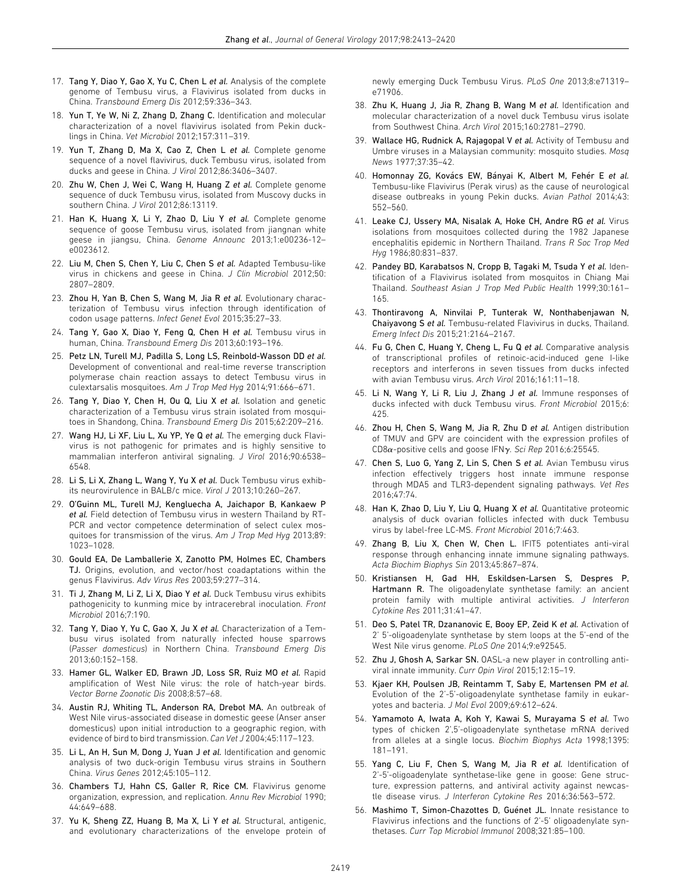- 17. Tang Y, Diao Y, Gao X, Yu C, Chen L et al. Analysis of the complete genome of Tembusu virus, a Flavivirus isolated from ducks in China. Transbound Emerg Dis 2012;59:336–343.
- 18. Yun T, Ye W, Ni Z, Zhang D, Zhang C. Identification and molecular characterization of a novel flavivirus isolated from Pekin ducklings in China. Vet Microbiol 2012;157:311–319.
- 19. Yun T, Zhang D, Ma X, Cao Z, Chen L et al. Complete genome sequence of a novel flavivirus, duck Tembusu virus, isolated from ducks and geese in China. J Virol 2012;86:3406–3407.
- 20. Zhu W, Chen J, Wei C, Wang H, Huang Z et al. Complete genome sequence of duck Tembusu virus, isolated from Muscovy ducks in southern China. J Virol 2012;86:13119.
- 21. Han K, Huang X, Li Y, Zhao D, Liu Y et al. Complete genome sequence of goose Tembusu virus, isolated from jiangnan white geese in jiangsu, China. Genome Announc 2013;1:e00236-12– e0023612.
- 22. Liu M, Chen S, Chen Y, Liu C, Chen S et al. Adapted Tembusu-like virus in chickens and geese in China. J Clin Microbiol 2012;50: 2807–2809.
- 23. Zhou H, Yan B, Chen S, Wang M, Jia R et al. Evolutionary characterization of Tembusu virus infection through identification of codon usage patterns. Infect Genet Evol 2015;35:27–33.
- 24. Tang Y, Gao X, Diao Y, Feng Q, Chen H et al. Tembusu virus in human, China. Transbound Emerg Dis 2013;60:193–196.
- 25. Petz LN, Turell MJ, Padilla S, Long LS, Reinbold-Wasson DD et al. Development of conventional and real-time reverse transcription polymerase chain reaction assays to detect Tembusu virus in culextarsalis mosquitoes. Am J Trop Med Hyg 2014;91:666–671.
- 26. Tang Y, Diao Y, Chen H, Ou Q, Liu X et al. Isolation and genetic characterization of a Tembusu virus strain isolated from mosquitoes in Shandong, China. Transbound Emerg Dis 2015;62:209–216.
- 27. Wang HJ, Li XF, Liu L, Xu YP, Ye Q et al. The emerging duck Flavivirus is not pathogenic for primates and is highly sensitive to mammalian interferon antiviral signaling. J Virol 2016;90:6538– 6548.
- 28. Li S, Li X, Zhang L, Wang Y, Yu X et al. Duck Tembusu virus exhibits neurovirulence in BALB/c mice. Virol J 2013;10:260–267.
- 29. O'Guinn ML, Turell MJ, Kengluecha A, Jaichapor B, Kankaew P et al. Field detection of Tembusu virus in western Thailand by RT-PCR and vector competence determination of select culex mosquitoes for transmission of the virus. Am J Trop Med Hyg 2013;89: 1023–1028.
- 30. Gould EA, De Lamballerie X, Zanotto PM, Holmes EC, Chambers TJ. Origins, evolution, and vector/host coadaptations within the genus Flavivirus. Adv Virus Res 2003;59:277–314.
- 31. Ti J, Zhang M, Li Z, Li X, Diao Y et al. Duck Tembusu virus exhibits pathogenicity to kunming mice by intracerebral inoculation. Front Microbiol 2016;7:190.
- 32. Tang Y, Diao Y, Yu C, Gao X, Ju X et al. Characterization of a Tembusu virus isolated from naturally infected house sparrows (Passer domesticus) in Northern China. Transbound Emerg Dis 2013;60:152–158.
- 33. Hamer GL, Walker ED, Brawn JD, Loss SR, Ruiz MO et al. Rapid amplification of West Nile virus: the role of hatch-year birds. Vector Borne Zoonotic Dis 2008;8:57–68.
- 34. Austin RJ, Whiting TL, Anderson RA, Drebot MA. An outbreak of West Nile virus-associated disease in domestic geese (Anser anser domesticus) upon initial introduction to a geographic region, with evidence of bird to bird transmission. Can Vet J 2004;45:117–123.
- 35. Li L, An H, Sun M, Dong J, Yuan J et al. Identification and genomic analysis of two duck-origin Tembusu virus strains in Southern China. Virus Genes 2012;45:105–112.
- 36. Chambers TJ, Hahn CS, Galler R, Rice CM. Flavivirus genome organization, expression, and replication. Annu Rev Microbiol 1990; 44:649–688.
- 37. Yu K, Sheng ZZ, Huang B, Ma X, Li Y et al. Structural, antigenic, and evolutionary characterizations of the envelope protein of

newly emerging Duck Tembusu Virus. PLoS One 2013;8:e71319– e71906.

- 38. Zhu K, Huang J, Jia R, Zhang B, Wang M et al. Identification and molecular characterization of a novel duck Tembusu virus isolate from Southwest China. Arch Virol 2015;160:2781–2790.
- 39. Wallace HG, Rudnick A, Rajagopal V et al. Activity of Tembusu and Umbre viruses in a Malaysian community: mosquito studies. Mosq News 1977;37:35–42.
- 40. Homonnay ZG, Kovács EW, Bányai K, Albert M, Fehér E et al. Tembusu-like Flavivirus (Perak virus) as the cause of neurological disease outbreaks in young Pekin ducks. Avian Pathol 2014;43: 552–560.
- 41. Leake CJ, Ussery MA, Nisalak A, Hoke CH, Andre RG et al. Virus isolations from mosquitoes collected during the 1982 Japanese encephalitis epidemic in Northern Thailand. Trans R Soc Trop Med Hyg 1986;80:831–837.
- 42. Pandey BD, Karabatsos N, Cropp B, Tagaki M, Tsuda Y et al. Identification of a Flavivirus isolated from mosquitos in Chiang Mai Thailand. Southeast Asian J Trop Med Public Health 1999;30:161– 165.
- 43. Thontiravong A, Ninvilai P, Tunterak W, Nonthabenjawan N, Chaiyavong S et al. Tembusu-related Flavivirus in ducks, Thailand. Emerg Infect Dis 2015;21:2164–2167.
- 44. Fu G, Chen C, Huang Y, Cheng L, Fu Q et al. Comparative analysis of transcriptional profiles of retinoic-acid-induced gene I-like receptors and interferons in seven tissues from ducks infected with avian Tembusu virus. Arch Virol 2016;161:11–18.
- 45. Li N, Wang Y, Li R, Liu J, Zhang J et al. Immune responses of ducks infected with duck Tembusu virus. Front Microbiol 2015;6: 425.
- 46. Zhou H, Chen S, Wang M, Jia R, Zhu D et al. Antigen distribution of TMUV and GPV are coincident with the expression profiles of CD8 $\alpha$ -positive cells and goose IFN $\gamma$ . Sci Rep 2016;6:25545.
- 47. Chen S, Luo G, Yang Z, Lin S, Chen S et al. Avian Tembusu virus infection effectively triggers host innate immune response through MDA5 and TLR3-dependent signaling pathways. Vet Res 2016;47:74.
- 48. Han K, Zhao D, Liu Y, Liu Q, Huang X et al. Quantitative proteomic analysis of duck ovarian follicles infected with duck Tembusu virus by label-free LC-MS. Front Microbiol 2016;7:463.
- 49. Zhang B, Liu X, Chen W, Chen L. IFIT5 potentiates anti-viral response through enhancing innate immune signaling pathways. Acta Biochim Biophys Sin 2013;45:867–874.
- 50. Kristiansen H, Gad HH, Eskildsen-Larsen S, Despres P, Hartmann R. The oligoadenylate synthetase family: an ancient protein family with multiple antiviral activities. J Interferon Cytokine Res 2011;31:41–47.
- 51. Deo S, Patel TR, Dzananovic E, Booy EP, Zeid K et al. Activation of 2' 5'-oligoadenylate synthetase by stem loops at the 5'-end of the West Nile virus genome. PLoS One 2014;9:e92545.
- 52. Zhu J, Ghosh A, Sarkar SN. OASL-a new player in controlling antiviral innate immunity. Curr Opin Virol 2015;12:15–19.
- 53. Kjaer KH, Poulsen JB, Reintamm T, Saby E, Martensen PM et al. Evolution of the 2'-5'-oligoadenylate synthetase family in eukaryotes and bacteria. J Mol Evol 2009;69:612–624.
- 54. Yamamoto A, Iwata A, Koh Y, Kawai S, Murayama S et al. Two types of chicken 2',5'-oligoadenylate synthetase mRNA derived from alleles at a single locus. Biochim Biophys Acta 1998;1395: 181–191.
- 55. Yang C, Liu F, Chen S, Wang M, Jia R et al. Identification of 2'-5'-oligoadenylate synthetase-like gene in goose: Gene structure, expression patterns, and antiviral activity against newcastle disease virus. J Interferon Cytokine Res 2016;36:563–572.
- 56. Mashimo T, Simon-Chazottes D, Guénet JL. Innate resistance to Flavivirus infections and the functions of 2'-5' oligoadenylate synthetases. Curr Top Microbiol Immunol 2008;321:85–100.